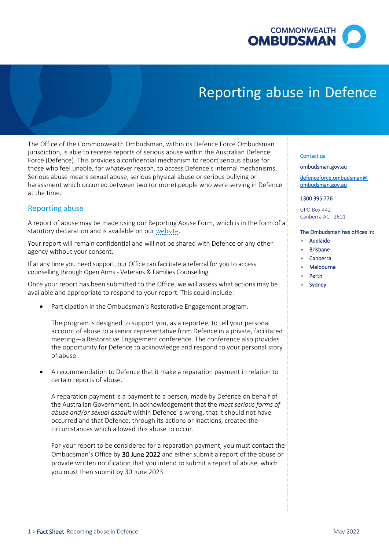

# Reporting abuse in Defence

 jurisdiction, is able to receive reports of serious abuse within the Australian Defence Force (Defence). This provides a confidential mechanism to report serious abuse for those who feel unable, for whatever reason, to access Defence's internal mechanisms. harassment which occurred between two (or more) people who were serving in Defence The Office of the Commonwealth Ombudsman, within its Defence Force Ombudsman Serious abuse means sexual abuse, serious physical abuse or serious bullying or at the time.

# Reporting abuse

 A report of abuse may be made using our Reporting Abuse Form, which is in the form of a statutory declaration and is available on our website.

 Your report will remain confidential and will not be shared with Defence or any other agency without your consent.

 If at any time you need support, our Office can facilitate a referral for you to access counselling through Open Arms - Veterans & Families Counselling.

 Once your report has been submitted to the Office, we will assess what actions may be available and appropriate to respond to your report. This could include:

• Participation in the Ombudsman's Restorative Engagement program.

 account of abuse to a senior representative from Defence in a private, facilitated the opportunity for Defence to acknowledge and respond to your personal story The program is designed to support you, as a reportee, to tell your personal meeting—a Restorative Engagement conference. The conference also provides of abuse.

 • A recommendation to Defence that it make a reparation payment in relation to certain reports of abuse.

 A reparation payment is a payment to a person, made by Defence on behalf of the Australian Government, in acknowledgement that the *most serious forms of abuse and/or sexual assault* within Defence is wrong, that it should not have occurred and that Defence, through its actions or inactions, created the circumstances which allowed this abuse to occur.

Ombudsman's Office by 30 June 2022 and either submit a report of the abuse or you must then submit by 30 June 2023. For your report to be considered for a reparation payment, you must contact the provide written notification that you intend to submit a report of abuse, which

#### Contact us

#### [ombudsman.gov.au](http://www.ombudsman.gov.au/)

[defenceforce.ombudsman@](mailto:defenceforce.ombudsman@ombudsman.gov.au)  [ombudsman.gov.au](mailto:defenceforce.ombudsman@ombudsman.gov.au) 

#### 1300 395 776

GPO Box 442 Canberra ACT 2601

## The Ombudsman has offices in:

- » Adelaide
- » Brisbane
- » Canberra
- » Melbourne
- » Perth
- **Sydney**